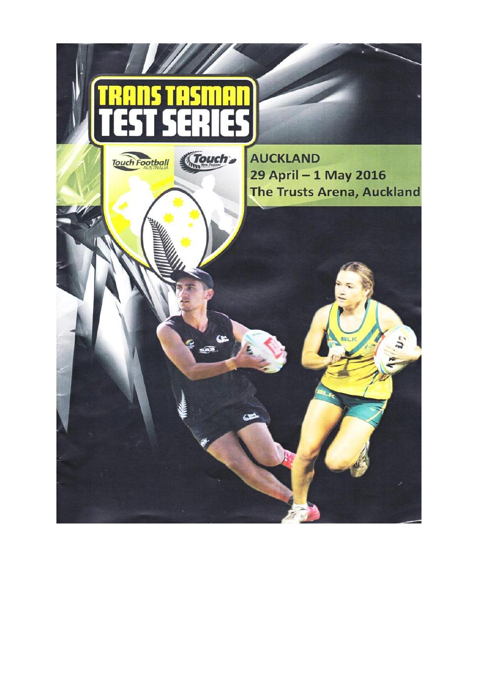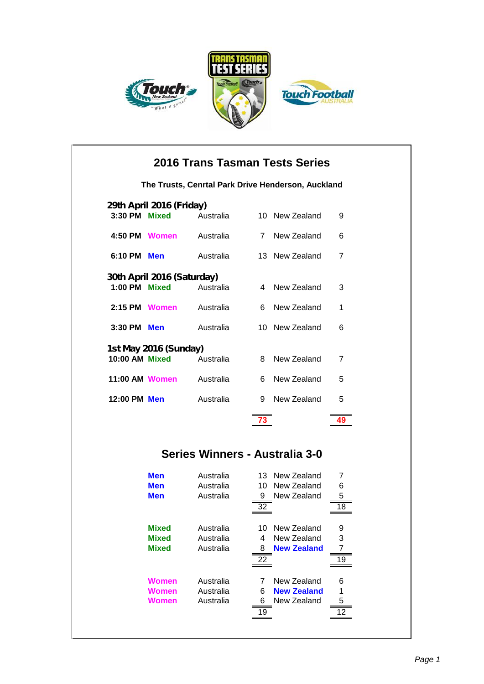





|                          | 2016 Trans Tasman Tests Series                     |                                |                 |                            |                |  |  |  |
|--------------------------|----------------------------------------------------|--------------------------------|-----------------|----------------------------|----------------|--|--|--|
|                          | The Trusts, Cenrtal Park Drive Henderson, Auckland |                                |                 |                            |                |  |  |  |
| 29th April 2016 (Friday) |                                                    |                                |                 |                            |                |  |  |  |
| 3:30 PM Mixed            |                                                    | Australia                      |                 | 10 New Zealand             | 9              |  |  |  |
| 4:50 PM Women            |                                                    | Australia                      |                 | 7 New Zealand              | 6              |  |  |  |
| 6:10 PM Men              |                                                    | Australia                      |                 | 13 New Zealand             | $\overline{7}$ |  |  |  |
|                          | 30th April 2016 (Saturday)                         |                                |                 |                            |                |  |  |  |
| 1:00 PM Mixed            |                                                    | Australia                      |                 | 4 New Zealand              | 3              |  |  |  |
| 2:15 PM Women            |                                                    | Australia                      | 6.              | New Zealand                | 1              |  |  |  |
| 3:30 PM Men              |                                                    | Australia                      |                 | 10 New Zealand             | 6              |  |  |  |
|                          | 1st May 2016 (Sunday)                              |                                |                 |                            |                |  |  |  |
| 10:00 AM Mixed           |                                                    | Australia                      | 8               | New Zealand                | $\overline{7}$ |  |  |  |
| 11:00 AM Women           |                                                    | Australia                      | 6.              | New Zealand                | 5              |  |  |  |
| 12:00 PM Men             |                                                    | Australia                      | 9               | New Zealand                | 5              |  |  |  |
|                          |                                                    |                                | 73              |                            | 49             |  |  |  |
|                          |                                                    |                                |                 |                            |                |  |  |  |
|                          |                                                    | Series Winners - Australia 3-0 |                 |                            |                |  |  |  |
|                          | <b>Men</b>                                         | Australia                      |                 | 13 New Zealand             | 7              |  |  |  |
|                          | <b>Men</b>                                         | Australia                      |                 | 10 New Zealand             | 6              |  |  |  |
|                          | <b>Men</b>                                         | Australia                      | 9<br>32         | New Zealand                | 5<br>18        |  |  |  |
|                          |                                                    |                                |                 |                            |                |  |  |  |
|                          | <b>Mixed</b><br><b>Mixed</b>                       | Australia<br>Australia         | 10<br>4         | New Zealand<br>New Zealand | 9<br>3         |  |  |  |
|                          | <b>Mixed</b>                                       | Australia                      | 8               | <b>New Zealand</b>         | 7              |  |  |  |
|                          |                                                    |                                | $\overline{22}$ |                            | 19             |  |  |  |
|                          | <b>Women</b>                                       | Australia                      | 7               | New Zealand                | 6              |  |  |  |
|                          | <b>Women</b>                                       | Australia                      | 6               | <b>New Zealand</b>         | 1              |  |  |  |
|                          | <b>Women</b>                                       | Australia                      | 6<br>19         | New Zealand                | 5<br>12        |  |  |  |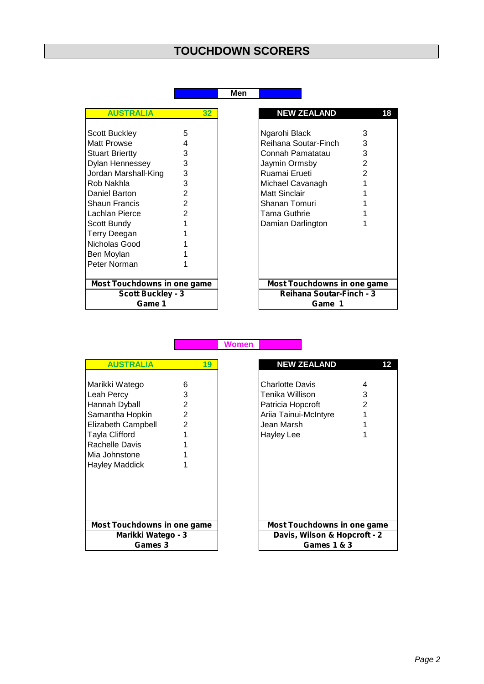## **TOUCHDOWN SCORERS**

## **Men**

| <b>AUSTRALIA</b><br>32             |                |  |  |  |  |  |
|------------------------------------|----------------|--|--|--|--|--|
|                                    |                |  |  |  |  |  |
| Scott Buckley                      | 5              |  |  |  |  |  |
| Matt Prowse                        | 4              |  |  |  |  |  |
| <b>Stuart Briertty</b>             | 3              |  |  |  |  |  |
| Dylan Hennessey                    | 3              |  |  |  |  |  |
| Jordan Marshall-King               | 3              |  |  |  |  |  |
| Rob Nakhla                         | 3              |  |  |  |  |  |
| Daniel Barton                      | $\overline{2}$ |  |  |  |  |  |
| Shaun Francis                      | $\overline{2}$ |  |  |  |  |  |
| Lachlan Pierce                     | $\overline{2}$ |  |  |  |  |  |
| Scott Bundy                        | 1              |  |  |  |  |  |
| Terry Deegan                       | 1              |  |  |  |  |  |
| Nicholas Good                      | 1              |  |  |  |  |  |
| Ben Moylan                         |                |  |  |  |  |  |
| Peter Norman                       |                |  |  |  |  |  |
|                                    |                |  |  |  |  |  |
| <b>Most Touchdowns in one game</b> |                |  |  |  |  |  |
| <b>Scott Buckley - 3</b>           |                |  |  |  |  |  |
| Game 1                             |                |  |  |  |  |  |

| <b>AUSTRALIA</b>            | 32            |
|-----------------------------|---------------|
|                             |               |
| <b>Scott Buckley</b>        | 5             |
| Matt Prowse                 |               |
| <b>Stuart Briertty</b>      | 3             |
| Dylan Hennessey             | 3             |
| Jordan Marshall-King        | 3             |
| Rob Nakhla                  | 3             |
| Daniel Barton               | 2             |
| Shaun Francis               | $\mathbf{2}$  |
| Lachlan Pierce              | $\mathcal{P}$ |
| Scott Bundy                 |               |
| Terry Deegan                |               |
| Nicholas Good               |               |
| Ben Moylan                  |               |
| Peter Norman                |               |
| Most Touchdowns in one game |               |
| <b>Scott Buckley - 3</b>    |               |
| Game 1                      |               |

| <b>AUSTRALIA</b>                                                                                                                                              |                                                      | 19 |  |  |  |
|---------------------------------------------------------------------------------------------------------------------------------------------------------------|------------------------------------------------------|----|--|--|--|
| Marikki Watego<br>Leah Percy<br>Hannah Dyball<br>Samantha Hopkin<br>Elizabeth Campbell<br>Tayla Clifford<br>Rachelle Davis<br>Mia Johnstone<br>Hayley Maddick | 6<br>3<br>2<br>$\overline{2}$<br>$\overline{2}$<br>1 |    |  |  |  |
| <b>Most Touchdowns in one game</b>                                                                                                                            |                                                      |    |  |  |  |
| Marikki Watego - 3<br><b>Games 3</b>                                                                                                                          |                                                      |    |  |  |  |

| <b>AUSTRALIA</b>            | 19             |                              | <b>NEW ZEALAND</b>          | 12 |
|-----------------------------|----------------|------------------------------|-----------------------------|----|
|                             |                |                              |                             |    |
| Marikki Watego              | 6              |                              | Charlotte Davis             | 4  |
| Leah Percy                  | 3              |                              | Tenika Willison             | 3  |
| Hannah Dyball               | 2              |                              | Patricia Hopcroft           | 2  |
| Samantha Hopkin             | $\overline{2}$ |                              | Ariia Tainui-McIntyre       |    |
| <b>Elizabeth Campbell</b>   | $\overline{2}$ |                              | Jean Marsh                  |    |
| Tayla Clifford              |                |                              | <b>Hayley Lee</b>           |    |
| Rachelle Davis              |                |                              |                             |    |
| Mia Johnstone               |                |                              |                             |    |
| Hayley Maddick              |                |                              |                             |    |
|                             |                |                              |                             |    |
|                             |                |                              |                             |    |
|                             |                |                              |                             |    |
|                             |                |                              |                             |    |
|                             |                |                              |                             |    |
| Most Touchdowns in one game |                |                              | Most Touchdowns in one game |    |
| Marikki Watego - 3          |                | Davis, Wilson & Hopcroft - 2 |                             |    |
| Games 3                     |                |                              | <b>Games 1 &amp; 3</b>      |    |

**Women**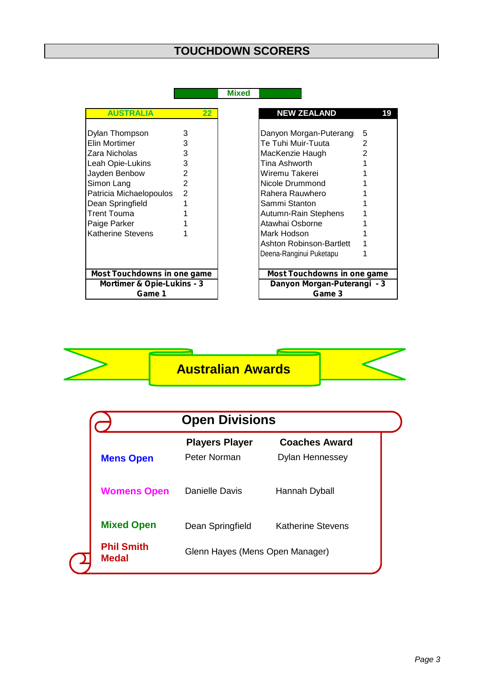## **TOUCHDOWN SCORERS**

| Mixed |  |  |
|-------|--|--|
|       |  |  |

| Dylan Thompson<br>3<br>Elin Mortimer<br>3<br>3<br>Zara Nicholas<br>Leah Opie-Lukins<br>3<br>$\overline{2}$<br>Jayden Benbow<br>$\mathfrak{p}$<br>Simon Lang<br>$\overline{2}$<br>Patricia Michaelopoulos<br>1<br>Dean Springfield<br>Trent Touma<br>1<br>Paige Parker<br>1<br>Katherine Stevens<br>1<br><b>Most Touchdowns in one game</b><br><b>Mortimer &amp; Opie-Lukins - 3</b> | <b>AUSTRALIA</b> | 22 |
|-------------------------------------------------------------------------------------------------------------------------------------------------------------------------------------------------------------------------------------------------------------------------------------------------------------------------------------------------------------------------------------|------------------|----|
|                                                                                                                                                                                                                                                                                                                                                                                     |                  |    |
|                                                                                                                                                                                                                                                                                                                                                                                     |                  |    |
| Game 1                                                                                                                                                                                                                                                                                                                                                                              |                  |    |

| <b>AUSTRALIA</b>            | $\overline{22}$                                           |  | <b>NEW ZEALAND</b>          | 19 |
|-----------------------------|-----------------------------------------------------------|--|-----------------------------|----|
|                             |                                                           |  |                             |    |
| Dylan Thompson              | 3                                                         |  | Danyon Morgan-Puterang      | 5  |
| Elin Mortimer               |                                                           |  | Te Tuhi Muir-Tuuta          | 2  |
| Zara Nicholas               | 3                                                         |  | MacKenzie Haugh             |    |
| Leah Opie-Lukins            | 3                                                         |  | Tina Ashworth               |    |
| Jayden Benbow               | 2                                                         |  | Wiremu Takerei              |    |
| Simon Lang                  | 2                                                         |  | Nicole Drummond             |    |
| Patricia Michaelopoulos     | 2                                                         |  | Rahera Rauwhero             |    |
| Dean Springfield            |                                                           |  | Sammi Stanton               |    |
| Trent Touma                 |                                                           |  | Autumn-Rain Stephens        |    |
| Paige Parker                |                                                           |  | Atawhai Osborne             |    |
| Katherine Stevens           |                                                           |  | Mark Hodson                 |    |
|                             |                                                           |  | Ashton Robinson-Bartlett    |    |
|                             |                                                           |  | Deena-Ranginui Puketapu     |    |
| Most Touchdowns in one game |                                                           |  | Most Touchdowns in one game |    |
|                             | Mortimer & Opie-Lukins - 3<br>Danyon Morgan-Puterangi - 3 |  |                             |    |
| Game 1                      |                                                           |  | Game 3                      |    |



| <b>Open Divisions</b>             |                                       |                                                |  |  |  |
|-----------------------------------|---------------------------------------|------------------------------------------------|--|--|--|
| <b>Mens Open</b>                  | <b>Players Player</b><br>Peter Norman | <b>Coaches Award</b><br><b>Dylan Hennessey</b> |  |  |  |
| <b>Womens Open</b>                | Danielle Davis                        | Hannah Dyball                                  |  |  |  |
| <b>Mixed Open</b>                 | Dean Springfield                      | <b>Katherine Stevens</b>                       |  |  |  |
| <b>Phil Smith</b><br><b>Medal</b> | Glenn Hayes (Mens Open Manager)       |                                                |  |  |  |